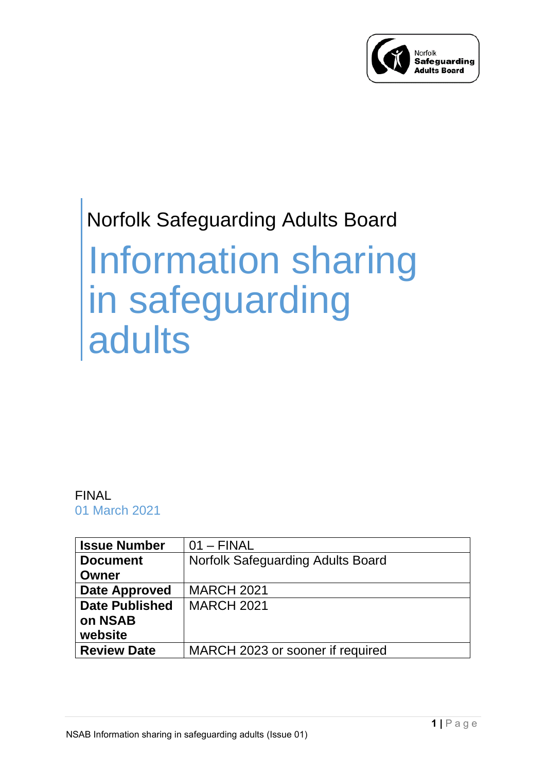

## Norfolk Safeguarding Adults Board

# Information sharing in safeguarding adults

#### FINAL 01 March 2021

| <b>Issue Number</b>   | $01 - FINAL$                             |
|-----------------------|------------------------------------------|
| <b>Document</b>       | <b>Norfolk Safeguarding Adults Board</b> |
| Owner                 |                                          |
| <b>Date Approved</b>  | <b>MARCH 2021</b>                        |
| <b>Date Published</b> | <b>MARCH 2021</b>                        |
| on NSAB               |                                          |
| website               |                                          |
| <b>Review Date</b>    | MARCH 2023 or sooner if required         |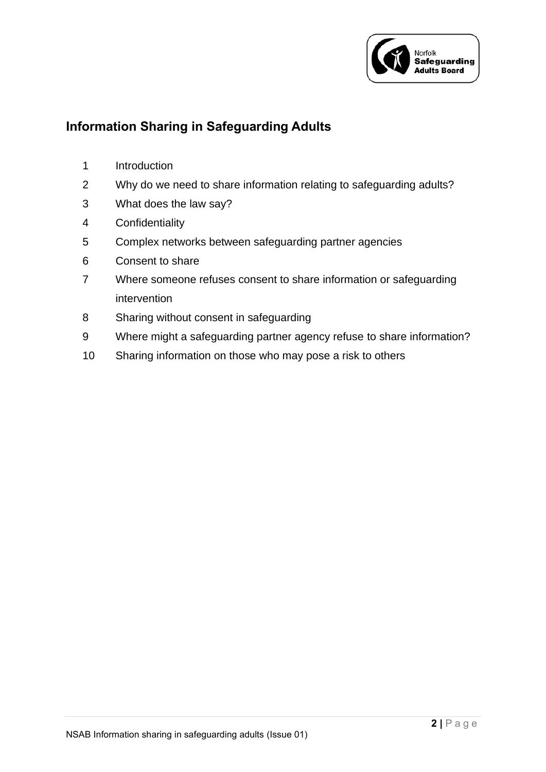

#### **Information Sharing in Safeguarding Adults**

- Introduction
- Why do we need to share information relating to safeguarding adults?
- What does the law say?
- Confidentiality
- Complex networks between safeguarding partner agencies
- Consent to share
- Where someone refuses consent to share information or safeguarding intervention
- Sharing without consent in safeguarding
- Where might a safeguarding partner agency refuse to share information?
- Sharing information on those who may pose a risk to others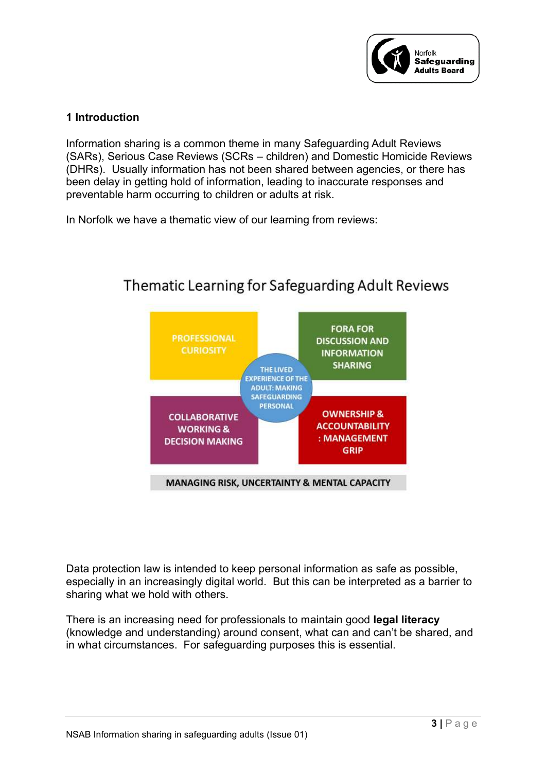

#### **1 Introduction**

Information sharing is a common theme in many Safeguarding Adult Reviews (SARs), Serious Case Reviews (SCRs – children) and Domestic Homicide Reviews (DHRs). Usually information has not been shared between agencies, or there has been delay in getting hold of information, leading to inaccurate responses and preventable harm occurring to children or adults at risk.

In Norfolk we have a thematic view of our learning from reviews:



### Thematic Learning for Safeguarding Adult Reviews

Data protection law is intended to keep personal information as safe as possible, especially in an increasingly digital world. But this can be interpreted as a barrier to sharing what we hold with others.

There is an increasing need for professionals to maintain good **legal literacy** (knowledge and understanding) around consent, what can and can't be shared, and in what circumstances. For safeguarding purposes this is essential.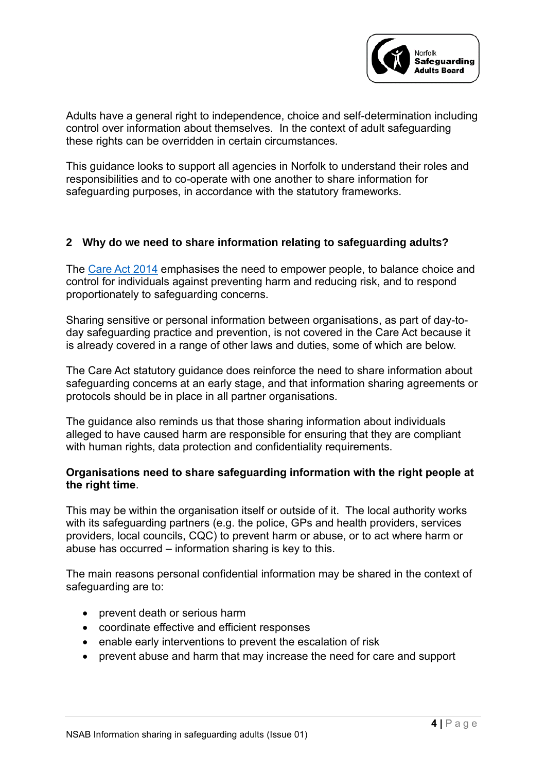

Adults have a general right to independence, choice and self-determination including control over information about themselves. In the context of adult safeguarding these rights can be overridden in certain circumstances.

This guidance looks to support all agencies in Norfolk to understand their roles and responsibilities and to co-operate with one another to share information for safeguarding purposes, in accordance with the statutory frameworks.

#### **2 Why do we need to share information relating to safeguarding adults?**

The [Care Act 2014](https://www.legislation.gov.uk/ukpga/2014/23/contents/enacted) emphasises the need to empower people, to balance choice and control for individuals against preventing harm and reducing risk, and to respond proportionately to safeguarding concerns.

Sharing sensitive or personal information between organisations, as part of day-today safeguarding practice and prevention, is not covered in the Care Act because it is already covered in a range of other laws and duties, some of which are below.

The Care Act statutory guidance does reinforce the need to share information about safeguarding concerns at an early stage, and that information sharing agreements or protocols should be in place in all partner organisations.

The guidance also reminds us that those sharing information about individuals alleged to have caused harm are responsible for ensuring that they are compliant with human rights, data protection and confidentiality requirements.

#### **Organisations need to share safeguarding information with the right people at the right time**.

This may be within the organisation itself or outside of it. The local authority works with its safeguarding partners (e.g. the police, GPs and health providers, services providers, local councils, CQC) to prevent harm or abuse, or to act where harm or abuse has occurred – information sharing is key to this.

The main reasons personal confidential information may be shared in the context of safeguarding are to:

- prevent death or serious harm
- coordinate effective and efficient responses
- enable early interventions to prevent the escalation of risk
- prevent abuse and harm that may increase the need for care and support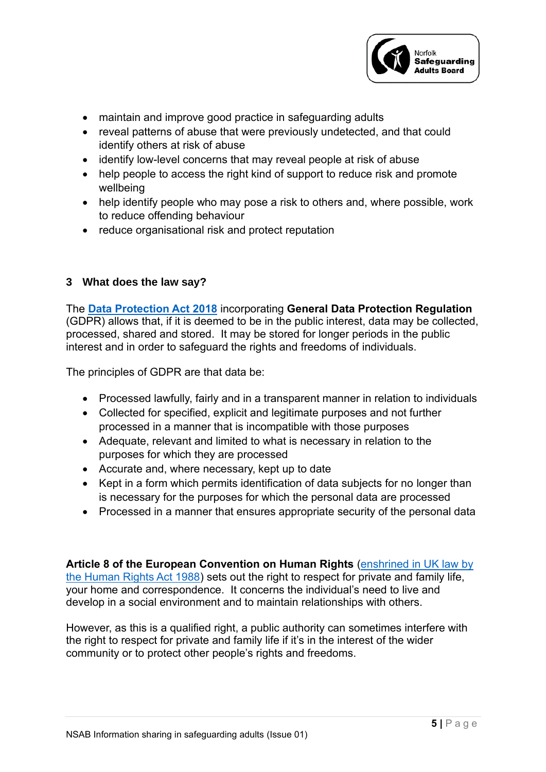

- maintain and improve good practice in safeguarding adults
- reveal patterns of abuse that were previously undetected, and that could identify others at risk of abuse
- identify low-level concerns that may reveal people at risk of abuse
- help people to access the right kind of support to reduce risk and promote wellbeing
- help identify people who may pose a risk to others and, where possible, work to reduce offending behaviour
- reduce organisational risk and protect reputation

#### **3 What does the law say?**

The **[Data Protection Act](https://www.gov.uk/data-protection) 2018** incorporating **General Data Protection Regulation** (GDPR) allows that, if it is deemed to be in the public interest, data may be collected, processed, shared and stored. It may be stored for longer periods in the public interest and in order to safeguard the rights and freedoms of individuals.

The principles of GDPR are that data be:

- Processed lawfully, fairly and in a transparent manner in relation to individuals
- Collected for specified, explicit and legitimate purposes and not further processed in a manner that is incompatible with those purposes
- Adequate, relevant and limited to what is necessary in relation to the purposes for which they are processed
- Accurate and, where necessary, kept up to date
- Kept in a form which permits identification of data subjects for no longer than is necessary for the purposes for which the personal data are processed
- Processed in a manner that ensures appropriate security of the personal data

**Article 8 of the European Convention on Human Rights** [\(enshrined in UK law by](https://www.legislation.gov.uk/ukpga/1998/42/schedule/1/part/I/chapter/7)  [the Human Rights Act 1988\)](https://www.legislation.gov.uk/ukpga/1998/42/schedule/1/part/I/chapter/7) sets out the right to respect for private and family life, your home and correspondence. It concerns the individual's need to live and develop in a social environment and to maintain relationships with others.

However, as this is a qualified right, a public authority can sometimes interfere with the right to respect for private and family life if it's in the interest of the wider community or to protect other people's rights and freedoms.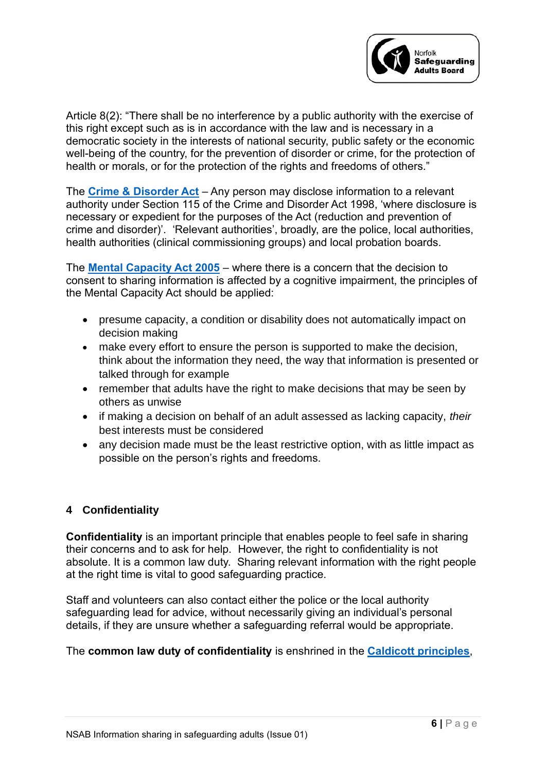

Article 8(2): "There shall be no interference by a public authority with the exercise of this right except such as is in accordance with the law and is necessary in a democratic society in the interests of national security, public safety or the economic well-being of the country, for the prevention of disorder or crime, for the protection of health or morals, or for the protection of the rights and freedoms of others."

The **[Crime & Disorder Act](https://www.legislation.gov.uk/ukpga/1998/37/contents)** – Any person may disclose information to a relevant authority under Section 115 of the Crime and Disorder Act 1998, 'where disclosure is necessary or expedient for the purposes of the Act (reduction and prevention of crime and disorder)'. 'Relevant authorities', broadly, are the police, local authorities, health authorities (clinical commissioning groups) and local probation boards.

The **[Mental Capacity Act 2005](https://www.legislation.gov.uk/ukpga/2005/9/contents)** – where there is a concern that the decision to consent to sharing information is affected by a cognitive impairment, the principles of the Mental Capacity Act should be applied:

- presume capacity, a condition or disability does not automatically impact on decision making
- make every effort to ensure the person is supported to make the decision, think about the information they need, the way that information is presented or talked through for example
- remember that adults have the right to make decisions that may be seen by others as unwise
- if making a decision on behalf of an adult assessed as lacking capacity, *their* best interests must be considered
- any decision made must be the least restrictive option, with as little impact as possible on the person's rights and freedoms.

#### **4 Confidentiality**

**Confidentiality** is an important principle that enables people to feel safe in sharing their concerns and to ask for help. However, the right to confidentiality is not absolute. It is a common law duty. Sharing relevant information with the right people at the right time is vital to good safeguarding practice.

Staff and volunteers can also contact either the police or the local authority safeguarding lead for advice, without necessarily giving an individual's personal details, if they are unsure whether a safeguarding referral would be appropriate.

#### The **common law duty of confidentiality** is enshrined in the **[Caldicott principles](https://www.gov.uk/government/publications/the-caldicott-principles)**,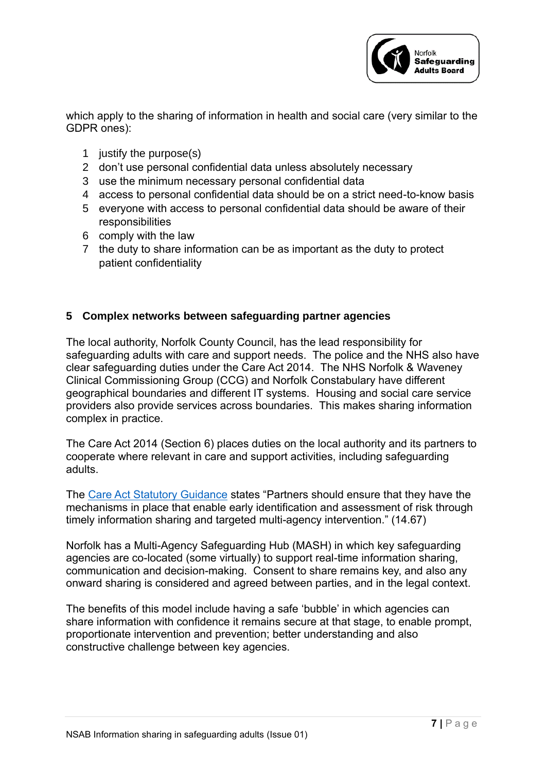

which apply to the sharing of information in health and social care (very similar to the GDPR ones):

- 1 justify the purpose(s)
- 2 don't use personal confidential data unless absolutely necessary
- 3 use the minimum necessary personal confidential data
- 4 access to personal confidential data should be on a strict need-to-know basis
- 5 everyone with access to personal confidential data should be aware of their responsibilities
- 6 comply with the law
- 7 the duty to share information can be as important as the duty to protect patient confidentiality

#### **5 Complex networks between safeguarding partner agencies**

The local authority, Norfolk County Council, has the lead responsibility for safeguarding adults with care and support needs. The police and the NHS also have clear safeguarding duties under the Care Act 2014. The NHS Norfolk & Waveney Clinical Commissioning Group (CCG) and Norfolk Constabulary have different geographical boundaries and different IT systems. Housing and social care service providers also provide services across boundaries. This makes sharing information complex in practice.

The Care Act 2014 (Section 6) places duties on the local authority and its partners to cooperate where relevant in care and support activities, including safeguarding adults.

The [Care Act Statutory Guidance](https://www.gov.uk/government/publications/care-act-statutory-guidance/care-and-support-statutory-guidance#safeguarding-1) states "Partners should ensure that they have the mechanisms in place that enable early identification and assessment of risk through timely information sharing and targeted multi-agency intervention." (14.67)

Norfolk has a Multi-Agency Safeguarding Hub (MASH) in which key safeguarding agencies are co-located (some virtually) to support real-time information sharing, communication and decision-making. Consent to share remains key, and also any onward sharing is considered and agreed between parties, and in the legal context.

The benefits of this model include having a safe 'bubble' in which agencies can share information with confidence it remains secure at that stage, to enable prompt, proportionate intervention and prevention; better understanding and also constructive challenge between key agencies.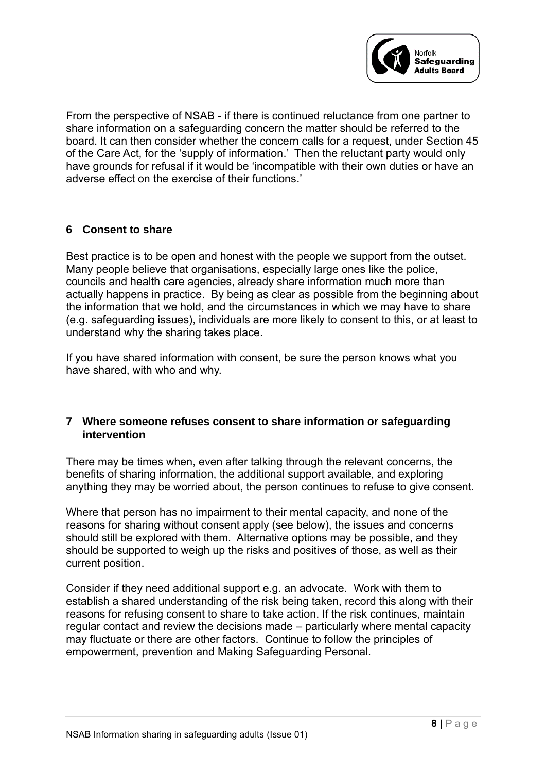

From the perspective of NSAB - if there is continued reluctance from one partner to share information on a safeguarding concern the matter should be referred to the board. It can then consider whether the concern calls for a request, under Section 45 of the Care Act, for the 'supply of information.' Then the reluctant party would only have grounds for refusal if it would be 'incompatible with their own duties or have an adverse effect on the exercise of their functions.'

#### **6 Consent to share**

Best practice is to be open and honest with the people we support from the outset. Many people believe that organisations, especially large ones like the police, councils and health care agencies, already share information much more than actually happens in practice. By being as clear as possible from the beginning about the information that we hold, and the circumstances in which we may have to share (e.g. safeguarding issues), individuals are more likely to consent to this, or at least to understand why the sharing takes place.

If you have shared information with consent, be sure the person knows what you have shared, with who and why.

#### **7 Where someone refuses consent to share information or safeguarding intervention**

There may be times when, even after talking through the relevant concerns, the benefits of sharing information, the additional support available, and exploring anything they may be worried about, the person continues to refuse to give consent.

Where that person has no impairment to their mental capacity, and none of the reasons for sharing without consent apply (see below), the issues and concerns should still be explored with them. Alternative options may be possible, and they should be supported to weigh up the risks and positives of those, as well as their current position.

Consider if they need additional support e.g. an advocate. Work with them to establish a shared understanding of the risk being taken, record this along with their reasons for refusing consent to share to take action. If the risk continues, maintain regular contact and review the decisions made – particularly where mental capacity may fluctuate or there are other factors. Continue to follow the principles of empowerment, prevention and Making Safeguarding Personal.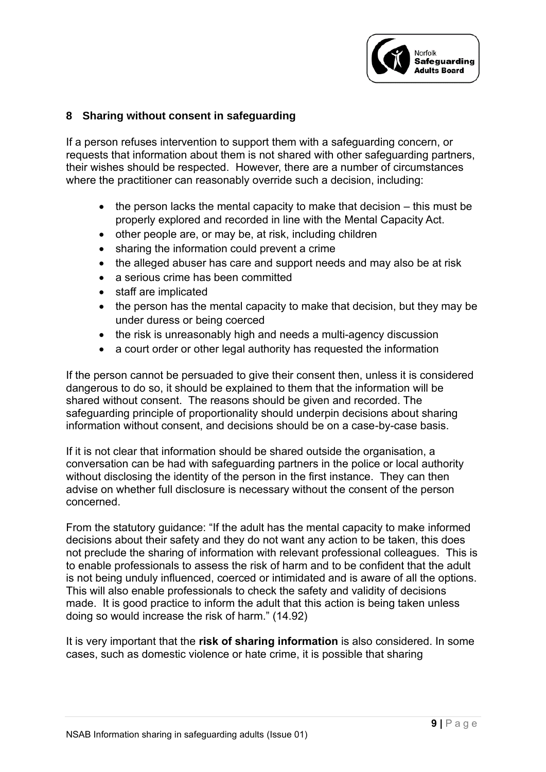

#### **8 Sharing without consent in safeguarding**

If a person refuses intervention to support them with a safeguarding concern, or requests that information about them is not shared with other safeguarding partners, their wishes should be respected. However, there are a number of circumstances where the practitioner can reasonably override such a decision, including:

- the person lacks the mental capacity to make that decision this must be properly explored and recorded in line with the Mental Capacity Act.
- other people are, or may be, at risk, including children
- sharing the information could prevent a crime
- the alleged abuser has care and support needs and may also be at risk
- a serious crime has been committed
- staff are implicated
- the person has the mental capacity to make that decision, but they may be under duress or being coerced
- the risk is unreasonably high and needs a multi-agency discussion
- a court order or other legal authority has requested the information

If the person cannot be persuaded to give their consent then, unless it is considered dangerous to do so, it should be explained to them that the information will be shared without consent. The reasons should be given and recorded. The safeguarding principle of proportionality should underpin decisions about sharing information without consent, and decisions should be on a case-by-case basis.

If it is not clear that information should be shared outside the organisation, a conversation can be had with safeguarding partners in the police or local authority without disclosing the identity of the person in the first instance. They can then advise on whether full disclosure is necessary without the consent of the person concerned.

From the statutory guidance: "If the adult has the mental capacity to make informed decisions about their safety and they do not want any action to be taken, this does not preclude the sharing of information with relevant professional colleagues. This is to enable professionals to assess the risk of harm and to be confident that the adult is not being unduly influenced, coerced or intimidated and is aware of all the options. This will also enable professionals to check the safety and validity of decisions made. It is good practice to inform the adult that this action is being taken unless doing so would increase the risk of harm." (14.92)

It is very important that the **risk of sharing information** is also considered. In some cases, such as domestic violence or hate crime, it is possible that sharing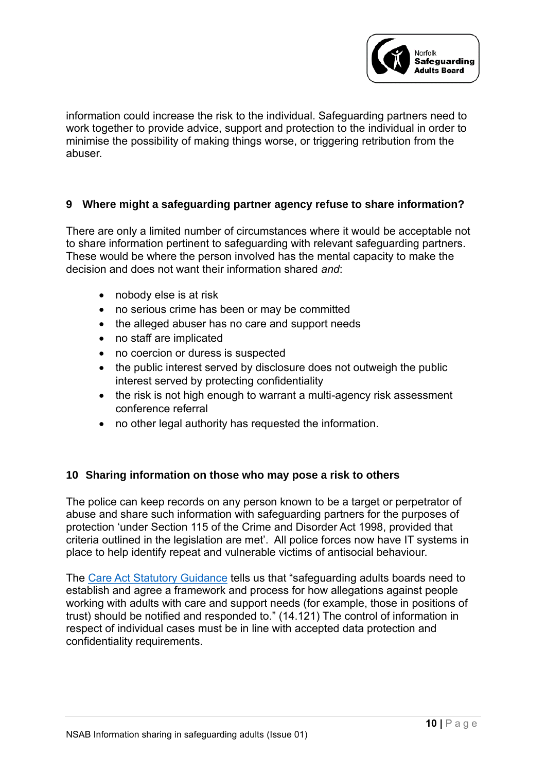

information could increase the risk to the individual. Safeguarding partners need to work together to provide advice, support and protection to the individual in order to minimise the possibility of making things worse, or triggering retribution from the abuser.

#### **9 Where might a safeguarding partner agency refuse to share information?**

There are only a limited number of circumstances where it would be acceptable not to share information pertinent to safeguarding with relevant safeguarding partners. These would be where the person involved has the mental capacity to make the decision and does not want their information shared *and*:

- nobody else is at risk
- no serious crime has been or may be committed
- the alleged abuser has no care and support needs
- no staff are implicated
- no coercion or duress is suspected
- the public interest served by disclosure does not outweigh the public interest served by protecting confidentiality
- the risk is not high enough to warrant a multi-agency risk assessment conference referral
- no other legal authority has requested the information.

#### **10 Sharing information on those who may pose a risk to others**

The police can keep records on any person known to be a target or perpetrator of abuse and share such information with safeguarding partners for the purposes of protection 'under Section 115 of the Crime and Disorder Act 1998, provided that criteria outlined in the legislation are met'. All police forces now have IT systems in place to help identify repeat and vulnerable victims of antisocial behaviour.

The [Care Act Statutory Guidance](https://www.gov.uk/government/publications/care-act-statutory-guidance/care-and-support-statutory-guidance#safeguarding-1) tells us that "safeguarding adults boards need to establish and agree a framework and process for how allegations against people working with adults with care and support needs (for example, those in positions of trust) should be notified and responded to." (14.121) The control of information in respect of individual cases must be in line with accepted data protection and confidentiality requirements.